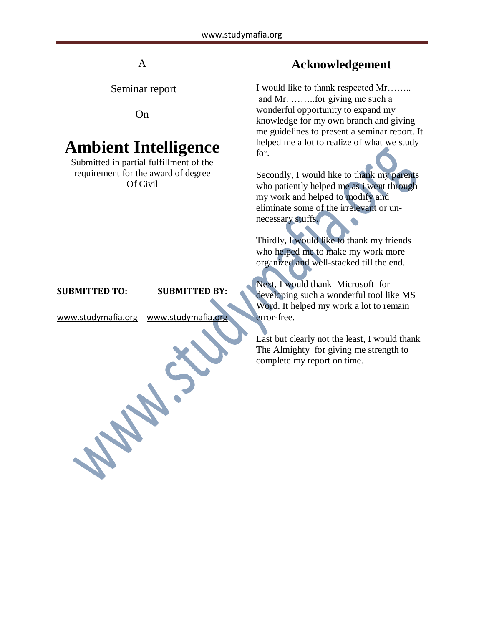## A

Seminar report

## On

# **Ambient Intelligence**

Submitted in partial fulfillment of the requirement for the award of degree Of Civil

## **Acknowledgement**

I would like to thank respected Mr…….. and Mr. ……..for giving me such a wonderful opportunity to expand my knowledge for my own branch and giving me guidelines to present a seminar report. It helped me a lot to realize of what we study for.

Secondly, I would like to thank my parents who patiently helped me as i went through my work and helped to modify and eliminate some of the irrelevant or unnecessary stuffs.

Thirdly, I would like to thank my friends who helped me to make my work more organized and well-stacked till the end.

Next, I would thank Microsoft for developing such a wonderful tool like MS Word. It helped my work a lot to remain error-free.

Last but clearly not the least, I would thank The Almighty for giving me strength to complete my report on time.

## **SUBMITTED TO: SUBMITTED BY:**

[www.studymafia.org](http://www.studymafia.org/) [www.studymafia.org](http://www.studymafia.org/)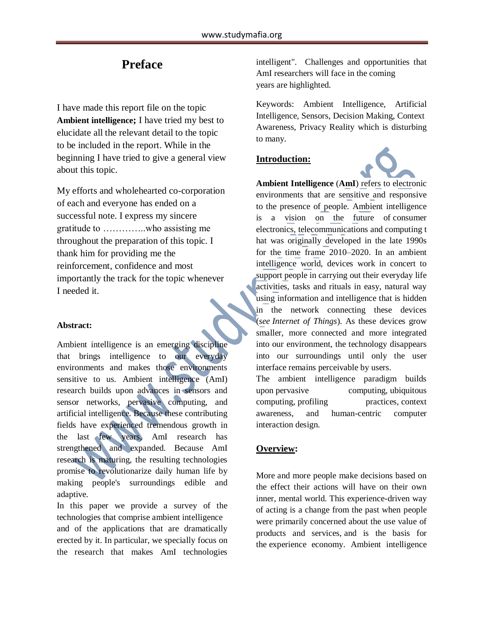## **Preface**

I have made this report file on the topic **Ambient intelligence;** I have tried my best to elucidate all the relevant detail to the topic to be included in the report. While in the beginning I have tried to give a general view about this topic.

My efforts and wholehearted co-corporation of each and everyone has ended on a successful note. I express my sincere gratitude to …………..who assisting me throughout the preparation of this topic. I thank him for providing me the reinforcement, confidence and most importantly the track for the topic whenever I needed it.

#### **Abstract:**

Ambient intelligence is an emerging discipline that brings intelligence to our everyday environments and makes those environments sensitive to us. Ambient intelligence (AmI) research builds upon advances in sensors and sensor networks, pervasive computing, and artificial intelligence. Because these contributing fields have experienced tremendous growth in the last few years, AmI research has strengthened and expanded. Because AmI research is maturing, the resulting technologies promise to revolutionarize daily human life by making people's surroundings edible and adaptive.

In this paper we provide a survey of the technologies that comprise ambient intelligence and of the applications that are dramatically erected by it. In particular, we specially focus on the research that makes AmI technologies

intelligent". Challenges and opportunities that AmI researchers will face in the coming years are highlighted.

Keywords: Ambient Intelligence, Artificial Intelligence, Sensors, Decision Making, Context Awareness, Privacy Reality which is disturbing to many.

## **Introduction:**



**Ambient Intelligence** (**AmI**) refers to electronic environments that are sensitive and responsive to the presence of people. Ambient intelligence is a vision on the future of [consumer](http://en.wikipedia.org/wiki/Consumer_electronics)  [electronics,](http://en.wikipedia.org/wiki/Consumer_electronics) [telecommunications](http://en.wikipedia.org/wiki/Telecommunications) and [computing](http://en.wikipedia.org/wiki/Computing) t hat was originally developed in the late 1990s for the time frame 2010–2020. In an ambient intelligence world, devices work in concert to support people in carrying out their everyday life activities, tasks and rituals in easy, natural way using information and intelligence that is hidden in the network connecting these devices (*see [Internet of Things](http://en.wikipedia.org/wiki/Internet_of_Things)*). As these devices grow smaller, more connected and more integrated into our environment, the technology disappears into our surroundings until only the user interface remains perceivable by users.

The ambient intelligence paradigm builds upon [pervasive computing,](http://en.wikipedia.org/wiki/Pervasive_computing) [ubiquitous](http://en.wikipedia.org/wiki/Ubiquitous_computing)  [computing,](http://en.wikipedia.org/wiki/Ubiquitous_computing) [profiling practices,](http://en.wikipedia.org/wiki/Profiling_practices) [context](http://en.wikipedia.org/wiki/Context_awareness) [awareness,](http://en.wikipedia.org/wiki/Context_awareness) and human-centric computer interaction design.

## **Overview:**

More and more people make decisions based on the effect their actions will have on their own inner, mental world. This experience-driven way of acting is a change from the past when people were primarily concerned about the use value of products and services, and is the basis for the [experience economy.](http://en.wikipedia.org/wiki/Experience_economy) Ambient intelligence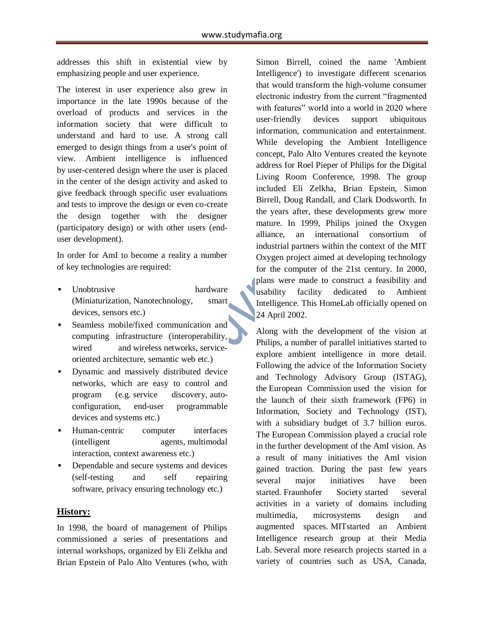addresses this shift in existential view by emphasizing people and user experience.

The interest in user experience also grew in importance in the late 1990s because of the overload of products and services in the information society that were difficult to understand and hard to use. A strong call emerged to design things from a user's point of view. Ambient intelligence is influenced by [user-centered design](http://en.wikipedia.org/wiki/User-centered_design) where the user is placed in the center of the design activity and asked to give feedback through specific user evaluations and tests to improve the design or even co-create the design together with the designer [\(participatory design\)](http://en.wikipedia.org/wiki/Participatory_design) or with other users [\(end](http://en.wikipedia.org/wiki/End-user_development)[user development\)](http://en.wikipedia.org/wiki/End-user_development).

In order for AmI to become a reality a number of key technologies are required:

- Unobtrusive hardware [\(Miniaturization,](http://en.wikipedia.org/wiki/Miniaturization) [Nanotechnology,](http://en.wikipedia.org/wiki/Nanotechnology) smart) devices, sensors etc.)
- Seamless mobile/fixed communication and computing infrastructure [\(interoperability,](http://en.wikipedia.org/wiki/Interoperability) wired and [wireless](http://en.wikipedia.org/wiki/Wireless) networks, [service](http://en.wikipedia.org/wiki/Service-oriented_architecture)[oriented architecture,](http://en.wikipedia.org/wiki/Service-oriented_architecture) [semantic web](http://en.wikipedia.org/wiki/Semantic_web) etc.)
- Dynamic and massively distributed device networks, which are easy to control and program (e.g. [service discovery,](http://en.wikipedia.org/wiki/Service_discovery) [auto](http://en.wikipedia.org/wiki/Auto-configuration)[configuration,](http://en.wikipedia.org/wiki/Auto-configuration) end-user programmable devices and systems etc.)
- Human-centric computer interfaces [\(intelligent agents,](http://en.wikipedia.org/wiki/Intelligent_agents) [multimodal](http://en.wikipedia.org/wiki/Multimodal_interaction)  [interaction,](http://en.wikipedia.org/wiki/Multimodal_interaction) [context awareness](http://en.wikipedia.org/wiki/Context_awareness) etc.)
- Dependable and secure systems and devices (self-testing and self repairing software, [privacy](http://en.wikipedia.org/wiki/Privacy) ensuring technology etc.)

## **History:**

In 1998, the board of management of Philips commissioned a series of presentations and internal workshops, organized by Eli Zelkha and Brian Epstein of Palo Alto Ventures (who, with

Simon Birrell, coined the name 'Ambient Intelligence') to investigate different scenarios that would transform the high-volume consumer electronic industry from the current "fragmented with features" world into a world in 2020 where user-friendly devices support ubiquitous information, communication and entertainment. While developing the Ambient Intelligence concept, Palo Alto Ventures created the keynote address for Roel Pieper of Philips for the Digital Living Room Conference, 1998. The group included Eli Zelkha, Brian Epstein, Simon Birrell, Doug Randall, and Clark Dodsworth. In the years after, these developments grew more mature. In 1999, Philips joined the Oxygen alliance, an international consortium of industrial partners within the context of the MIT Oxygen project aimed at developing technology for the computer of the 21st century. In 2000, plans were made to construct a feasibility and usability facility dedicated to Ambient Intelligence. This HomeLab officially opened on 24 April 2002.

Along with the development of the vision at Philips, a number of parallel initiatives started to explore ambient intelligence in more detail. Following the advice of the Information Society and Technology Advisory Group [\(ISTAG\)](http://en.wikipedia.org/wiki/ISTAG), the [European Commission](http://en.wikipedia.org/wiki/European_Commission) used the vision for the launch of their sixth framework (FP6) in Information, Society and Technology (IST), with a subsidiary budget of 3.7 billion euros. The European Commission played a crucial role in the further development of the AmI vision. As a result of many initiatives the AmI vision gained traction. During the past few years several major initiatives have been started. [Fraunhofer Society](http://en.wikipedia.org/wiki/Fraunhofer_Society) started several activities in a variety of domains including multimedia, microsystems design and augmented spaces. [MITs](http://en.wikipedia.org/wiki/MIT)tarted an Ambient Intelligence research group at their Media Lab. Several more research projects started in a variety of countries such as USA, Canada,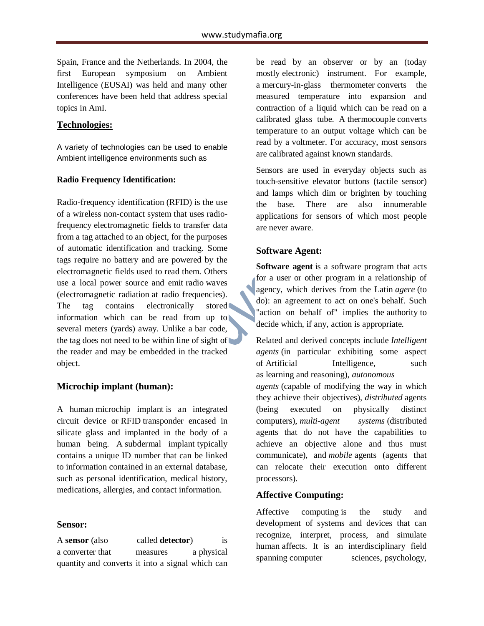Spain, France and the Netherlands. In 2004, the first European symposium on Ambient Intelligence (EUSAI) was held and many other conferences have been held that address special topics in AmI.

## **Technologies:**

A variety of technologies can be used to enable Ambient intelligence environments such as

#### **Radio Frequency Identification:**

Radio-frequency identification (RFID) is the use of a wireless non-contact system that uses radiofrequency [electromagnetic](http://en.wikipedia.org/wiki/Electromagnetic_field) fields to transfer data from a tag attached to an object, for the purposes of automatic identification and tracking. Some tags require no battery and are powered by the electromagnetic fields used to read them. Others use a local power source and emit [radio](http://en.wikipedia.org/wiki/Radio) waves [\(electromagnetic radiation](http://en.wikipedia.org/wiki/Electromagnetic_radiation) at radio frequencies). The tag contains electronically stored information which can be read from up to several meters (yards) away. Unlike a [bar code,](http://en.wikipedia.org/wiki/Bar_code) the tag does not need to be within line of sight of the reader and may be embedded in the tracked object.

## **Microchip implant (human):**

A human microchip implant is an integrated circuit device or [RFID](http://en.wikipedia.org/wiki/RFID) transponder encased in silicate glass and implanted in the body of a human being. A [subdermal implant](http://en.wikipedia.org/wiki/Subdermal_implant) typically contains a unique ID number that can be linked to information contained in an external database, such as personal identification, medical history, medications, allergies, and contact information.

#### **Sensor:**

A **sensor** (also called **detector**) is a [converter](http://en.wikipedia.org/wiki/Energy_conversion) that measures a [physical](http://en.wikipedia.org/wiki/Physical_quantity)  [quantity](http://en.wikipedia.org/wiki/Physical_quantity) and converts it into a signal which can be read by an observer or by an (today mostly [electronic\)](http://en.wikipedia.org/wiki/Electronics) instrument. For example, a [mercury-in-glass thermometer](http://en.wikipedia.org/wiki/Mercury-in-glass_thermometer) converts the measured temperature into expansion and contraction of a liquid which can be read on a calibrated glass tube. A [thermocouple](http://en.wikipedia.org/wiki/Thermocouple) converts temperature to an output voltage which can be read by a [voltmeter.](http://en.wikipedia.org/wiki/Voltmeter) For accuracy, most sensors are [calibrated](http://en.wikipedia.org/wiki/Calibration) against known [standards.](http://en.wikipedia.org/wiki/Standard_(metrology))

Sensors are used in everyday objects such as touch-sensitive elevator buttons [\(tactile sensor\)](http://en.wikipedia.org/wiki/Tactile_sensor) and lamps which dim or brighten by touching the base. There are also innumerable applications for sensors of which most people are never aware.

#### **Software Agent:**

**Software agent** is a software program that acts for a user or other program in a relationship of agency, which derives from the Latin *agere* (to do): an agreement to act on one's behalf. Such "action on behalf of" implies the [authority](http://en.wikipedia.org/wiki/Authority) to decide which, if any, action is appropriate.

Related and derived concepts include *[Intelligent](http://en.wikipedia.org/wiki/Intelligent_agent)  [agents](http://en.wikipedia.org/wiki/Intelligent_agent)* (in particular exhibiting some aspect of [Artificial Intelligence,](http://en.wikipedia.org/wiki/Artificial_Intelligence) such as [learning](http://en.wikipedia.org/wiki/Learning) and [reasoning\)](http://en.wikipedia.org/wiki/Reasoning), *[autonomous](http://en.wikipedia.org/wiki/Autonomous_agent)  [agents](http://en.wikipedia.org/wiki/Autonomous_agent)* (capable of modifying the way in which they achieve their objectives), *distributed* agents (being executed on physically distinct computers), *[multi-agent](http://en.wikipedia.org/wiki/Multi-agent_system) systems* (distributed agents that do not have the capabilities to achieve an objective alone and thus must communicate), and *mobile* agents (agents that can relocate their execution onto different processors).

## **Affective Computing:**

Affective computing is the study and development of systems and devices that can recognize, interpret, process, and simulate human [affects.](http://en.wikipedia.org/wiki/Affect_(psychology)) It is an interdisciplinary field spanning [computer sciences,](http://en.wikipedia.org/wiki/Computer_sciences) [psychology,](http://en.wikipedia.org/wiki/Psychology)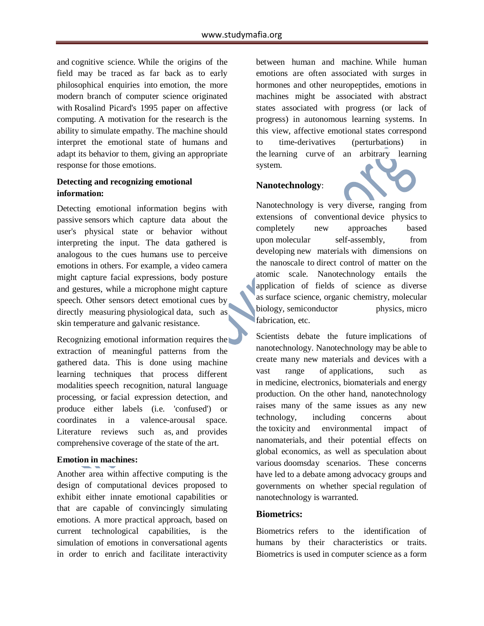and [cognitive science.](http://en.wikipedia.org/wiki/Cognitive_science) While the origins of the field may be traced as far back as to early philosophical enquiries into [emotion,](http://en.wikipedia.org/wiki/Emotion#The_James-Lange_Theory) the more modern branch of computer science originated with [Rosalind Picard's](http://en.wikipedia.org/wiki/Rosalind_Picard) 1995 paper on affective computing. A motivation for the research is the ability to simulate [empathy.](http://en.wikipedia.org/wiki/Empathy) The machine should interpret the emotional state of humans and adapt its behavior to them, giving an appropriate response for those emotions.

## **Detecting and recognizing emotional information:**

Detecting emotional information begins with passive [sensors](http://en.wikipedia.org/wiki/Sensors) which capture data about the user's physical state or behavior without interpreting the input. The data gathered is analogous to the cues humans use to perceive emotions in others. For example, a video camera might capture facial expressions, body posture and gestures, while a microphone might capture speech. Other sensors detect emotional cues by directly measuring [physiological](http://en.wikipedia.org/wiki/Physiological) data, such as skin temperature and [galvanic resistance.](http://en.wikipedia.org/wiki/Galvanic_skin_response)

Recognizing emotional information requires the extraction of meaningful patterns from the gathered data. This is done using machine learning techniques that process different modalities [speech recognition,](http://en.wikipedia.org/wiki/Speech_recognition) [natural language](http://en.wikipedia.org/wiki/Natural_language_processing)  [processing,](http://en.wikipedia.org/wiki/Natural_language_processing) or [facial expression detection,](http://en.wikipedia.org/wiki/Face_recognition) and produce either labels (i.e. 'confused') or coordinates in a valence-arousal space. Literature reviews such as, and provides comprehensive coverage of the state of the art.

## **Emotion in machines:**

Another area within affective computing is the design of computational devices proposed to exhibit either innate emotional capabilities or that are capable of convincingly simulating emotions. A more practical approach, based on current technological capabilities, is the simulation of emotions in conversational agents in order to enrich and facilitate interactivity

between human and machine. While human emotions are often associated with surges in hormones and other neuropeptides, emotions in machines might be associated with abstract states associated with progress (or lack of progress) in autonomous learning systems. In this view, affective emotional states correspond to time-derivatives (perturbations) in the [learning curve](http://en.wikipedia.org/wiki/Learning_curve) of an arbitrary learning system.

## **Nanotechnology**:

Nanotechnology is very diverse, ranging from extensions of conventional [device physics](http://en.wikipedia.org/wiki/Semiconductor_device) to completely new approaches based upon [molecular self-assembly,](http://en.wikipedia.org/wiki/Molecular_self-assembly) from developing [new materials](http://en.wikipedia.org/wiki/Nanomaterials) with dimensions on the nanoscale to [direct control of matter on the](http://en.wikipedia.org/wiki/Molecular_nanotechnology)  [atomic scale.](http://en.wikipedia.org/wiki/Molecular_nanotechnology) Nanotechnology entails the application of fields of science as diverse as [surface science,](http://en.wikipedia.org/wiki/Surface_science) [organic chemistry,](http://en.wikipedia.org/wiki/Organic_chemistry) [molecular](http://en.wikipedia.org/wiki/Molecular_biology)  [biology,](http://en.wikipedia.org/wiki/Molecular_biology) [semiconductor physics,](http://en.wikipedia.org/wiki/Semiconductor_physics) micro fabrication, etc.

Scientists debate the future [implications of](http://en.wikipedia.org/wiki/Implications_of_nanotechnology)  [nanotechnology.](http://en.wikipedia.org/wiki/Implications_of_nanotechnology) Nanotechnology may be able to create many new materials and devices with a vast range of [applications,](http://en.wikipedia.org/wiki/List_of_nanotechnology_applications) such as in [medicine,](http://en.wikipedia.org/wiki/Nanomedicine) [electronics,](http://en.wikipedia.org/wiki/Nanoelectronics) [biomaterials](http://en.wikipedia.org/wiki/Biomaterials) and energy production. On the other hand, nanotechnology raises many of the same issues as any new technology, including concerns about the [toxicity](http://en.wikipedia.org/wiki/Nanotoxicology) and environmental impact of nanomaterials, and their potential effects on global economics, as well as speculation about various [doomsday scenarios.](http://en.wikipedia.org/wiki/Grey_goo) These concerns have led to a debate among advocacy groups and governments on whether special [regulation of](http://en.wikipedia.org/wiki/Regulation_of_nanotechnology)  [nanotechnology](http://en.wikipedia.org/wiki/Regulation_of_nanotechnology) is warranted.

## **Biometrics:**

Biometrics refers to the identification of humans by their characteristics or traits. Biometrics is used in computer science as a form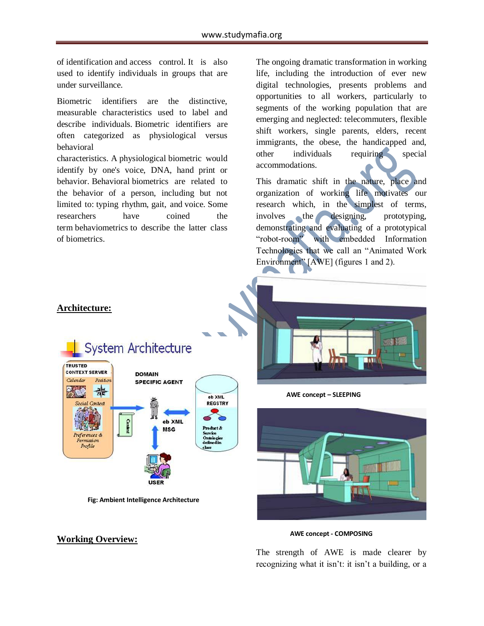of [identification](http://en.wikipedia.org/wiki/Identification) and [access control.](http://en.wikipedia.org/wiki/Access_control) It is also used to identify individuals in groups that are under [surveillance.](http://en.wikipedia.org/wiki/Surveillance)

Biometric identifiers are the distinctive, measurable characteristics used to label and describe individuals. Biometric identifiers are often categorized as physiological versus behavioral

characteristics. A physiological biometric would identify by one's voice, DNA, hand print or behavior. Behavioral biometrics are related to the behavior of a person, including but not limited to: [typing rhythm,](http://en.wikipedia.org/wiki/Keystroke_dynamics) [gait,](http://en.wikipedia.org/wiki/Gait_analysis) and [voice.](http://en.wikipedia.org/wiki/Speaker_recognition) Some researchers have coined the term behaviometrics to describe the latter class of biometrics.

The ongoing dramatic transformation in working life, including the introduction of ever new digital technologies, presents problems and opportunities to all workers, particularly to segments of the working population that are emerging and neglected: telecommuters, flexible shift workers, single parents, elders, recent immigrants, the obese, the handicapped and, other individuals requiring special accommodations.

This dramatic shift in the nature, place and organization of working life motivates our research which, in the simplest of terms, involves the designing, prototyping, demonstrating and evaluating of a prototypical "robot-room" with embedded Information Technologies that we call an "Animated Work Environment" [AWE] (figures 1 and 2).



## **Working Overview:**

#### **AWE concept - COMPOSING**

The strength of AWE is made clearer by recognizing what it isn't: it isn't a building, or a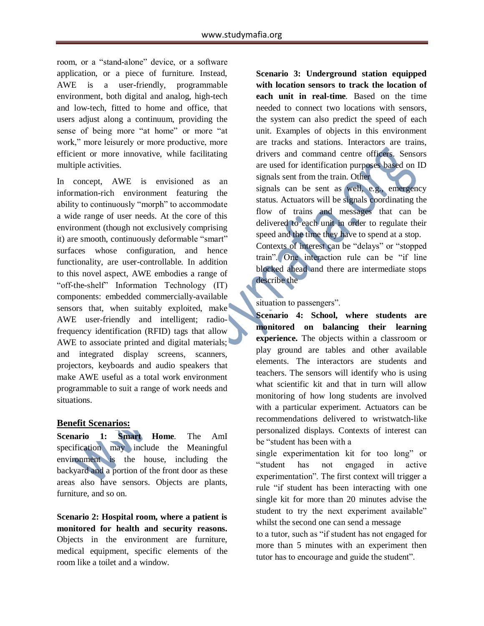room, or a "stand-alone" device, or a software application, or a piece of furniture. Instead, AWE is a user-friendly, programmable environment, both digital and analog, high-tech and low-tech, fitted to home and office, that users adjust along a continuum, providing the sense of being more "at home" or more "at work," more leisurely or more productive, more efficient or more innovative, while facilitating multiple activities.

In concept, AWE is envisioned as an information-rich environment featuring the ability to continuously "morph" to accommodate a wide range of user needs. At the core of this environment (though not exclusively comprising it) are smooth, continuously deformable "smart" surfaces whose configuration, and hence functionality, are user-controllable. In addition to this novel aspect, AWE embodies a range of "off-the-shelf" Information Technology (IT) components: embedded commercially-available sensors that, when suitably exploited, make AWE user-friendly and intelligent; radiofrequency identification (RFID) tags that allow AWE to associate printed and digital materials; and integrated display screens, scanners, projectors, keyboards and audio speakers that make AWE useful as a total work environment programmable to suit a range of work needs and situations.

## **Benefit Scenarios:**

**Scenario 1: Smart Home***.* The AmI specification may include the Meaningful environment is the house, including the backyard and a portion of the front door as these areas also have sensors. Objects are plants, furniture, and so on.

**Scenario 2: Hospital room, where a patient is monitored for health and security reasons.** Objects in the environment are furniture, medical equipment, specific elements of the room like a toilet and a window.

**Scenario 3: Underground station equipped with location sensors to track the location of each unit in real-time***.* Based on the time needed to connect two locations with sensors, the system can also predict the speed of each unit. Examples of objects in this environment are tracks and stations. Interactors are trains, drivers and command centre officers. Sensors are used for identification purposes based on ID signals sent from the train. Other signals can be sent as well, e.g., emergency status. Actuators will be signals coordinating the flow of trains and messages that can be delivered to each unit in order to regulate their speed and the time they have to spend at a stop. Contexts of interest can be "delays" or "stopped train". One interaction rule can be "if line blocked ahead and there are intermediate stops describe the

situation to passengers".

**Scenario 4: School, where students are monitored on balancing their learning experience.** The objects within a classroom or play ground are tables and other available elements. The interactors are students and teachers. The sensors will identify who is using what scientific kit and that in turn will allow monitoring of how long students are involved with a particular experiment. Actuators can be recommendations delivered to wristwatch-like personalized displays. Contexts of interest can be "student has been with a

single experimentation kit for too long" or "student has not engaged in active experimentation". The first context will trigger a rule "if student has been interacting with one single kit for more than 20 minutes advise the student to try the next experiment available" whilst the second one can send a message

to a tutor, such as "if student has not engaged for more than 5 minutes with an experiment then tutor has to encourage and guide the student".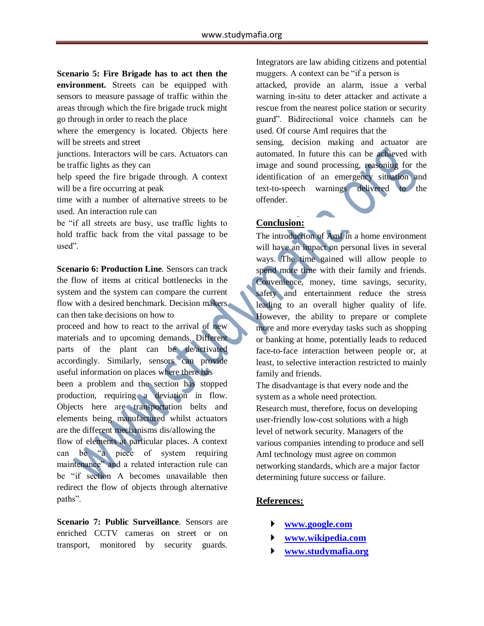**Scenario 5: Fire Brigade has to act then the environment.** Streets can be equipped with sensors to measure passage of traffic within the areas through which the fire brigade truck might go through in order to reach the place

where the emergency is located. Objects here will be streets and street

junctions. Interactors will be cars. Actuators can be traffic lights as they can

help speed the fire brigade through. A context will be a fire occurring at peak

time with a number of alternative streets to be used. An interaction rule can

be "if all streets are busy, use traffic lights to hold traffic back from the vital passage to be used".

**Scenario 6: Production Line.** Sensors can track the flow of items at critical bottlenecks in the system and the system can compare the current flow with a desired benchmark. Decision makers can then take decisions on how to

proceed and how to react to the arrival of new materials and to upcoming demands. Different parts of the plant can be de/activated accordingly. Similarly, sensors can provide useful information on places where there has been a problem and the section has stopped production, requiring a deviation in flow. Objects here are transportation belts and elements being manufactured whilst actuators are the different mechanisms dis/allowing the flow of elements at particular places. A context can be "a piece of system requiring maintenance" and a related interaction rule can be "if section A becomes unavailable then redirect the flow of objects through alternative paths".

**Scenario 7: Public Surveillance***.* Sensors are enriched CCTV cameras on street or on transport, monitored by security guards. Integrators are law abiding citizens and potential muggers. A context can be "if a person is

attacked, provide an alarm, issue a verbal warning in-situ to deter attacker and activate a rescue from the nearest police station or security guard". Bidirectional voice channels can be used. Of course AmI requires that the

sensing, decision making and actuator are automated. In future this can be achieved with image and sound processing, reasoning for the identification of an emergency situation and text-to-speech warnings delivered to the offender.

## **Conclusion:**

The introduction of AmI in a home environment will have an impact on personal lives in several ways. The time gained will allow people to spend more time with their family and friends. Convenience, money, time savings, security, safety and entertainment reduce the stress leading to an overall higher quality of life. However, the ability to prepare or complete more and more everyday tasks such as shopping or banking at home, potentially leads to reduced face-to-face interaction between people or, at least, to selective interaction restricted to mainly family and friends.

The disadvantage is that every node and the system as a whole need protection.

Research must, therefore, focus on developing user-friendly low-cost solutions with a high level of network security. Managers of the various companies intending to produce and sell AmI technology must agree on common networking standards, which are a major factor determining future success or failure.

#### **References:**

- **[www.google.com](http://www.google.com/)**
- **[www.wikipedia.com](http://www.wikipedia.com/)**
- **[www.studymafia.org](http://www.studymafia.org/)**